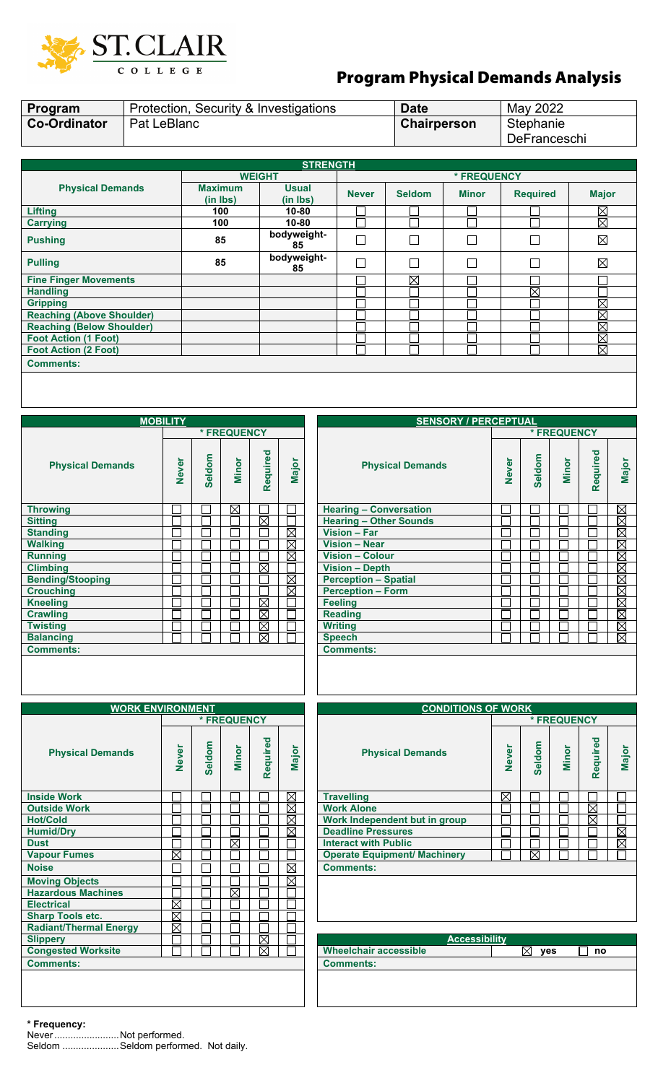

## Program Physical Demands Analysis

| Program                          |             |                            | Protection, Security & Investigations | <b>Date</b>  |               | May 2022     |                 |              |  |  |  |  |
|----------------------------------|-------------|----------------------------|---------------------------------------|--------------|---------------|--------------|-----------------|--------------|--|--|--|--|
| <b>Co-Ordinator</b>              | Pat LeBlanc |                            |                                       | Chairperson  |               | Stephanie    |                 |              |  |  |  |  |
|                                  |             |                            |                                       |              |               | DeFranceschi |                 |              |  |  |  |  |
|                                  |             |                            |                                       |              |               |              |                 |              |  |  |  |  |
|                                  |             |                            | <b>STRENGTH</b>                       |              |               |              |                 |              |  |  |  |  |
| <b>WEIGHT</b><br>* FREQUENCY     |             |                            |                                       |              |               |              |                 |              |  |  |  |  |
| <b>Physical Demands</b>          |             | <b>Maximum</b><br>(in Ibs) | <b>Usual</b><br>(in lbs)              | <b>Never</b> | <b>Seldom</b> | <b>Minor</b> | <b>Required</b> | <b>Major</b> |  |  |  |  |
| <b>Lifting</b>                   |             | 100                        | $10 - 80$                             |              |               |              |                 | $\boxtimes$  |  |  |  |  |
| <b>Carrying</b>                  |             | 100                        | $10 - 80$                             |              |               |              |                 | ⊠            |  |  |  |  |
| <b>Pushing</b>                   |             | 85                         | bodyweight-<br>85                     | $\Box$       |               |              |                 | $\boxtimes$  |  |  |  |  |
| <b>Pulling</b>                   |             | 85                         | bodyweight-<br>85                     | П            | П             | г            |                 | ⊠            |  |  |  |  |
| <b>Fine Finger Movements</b>     |             |                            |                                       |              | ⊠             |              |                 |              |  |  |  |  |
| <b>Handling</b>                  |             |                            |                                       |              |               |              | $\boxtimes$     |              |  |  |  |  |
| <b>Gripping</b>                  |             |                            |                                       |              |               |              |                 | $\boxtimes$  |  |  |  |  |
| <b>Reaching (Above Shoulder)</b> |             |                            |                                       |              |               |              |                 | $\boxtimes$  |  |  |  |  |
| <b>Reaching (Below Shoulder)</b> |             |                            |                                       |              |               |              |                 | $\boxtimes$  |  |  |  |  |
| <b>Foot Action (1 Foot)</b>      |             |                            |                                       |              |               |              |                 | $\boxtimes$  |  |  |  |  |
| <b>Foot Action (2 Foot)</b>      |             |                            |                                       |              |               |              |                 | $\boxtimes$  |  |  |  |  |
| <b>Comments:</b>                 |             |                            |                                       |              |               |              |                 |              |  |  |  |  |

| <b>MOBILITY</b>         | <b>SEN</b>   |               |              |             |             |                               |  |  |  |
|-------------------------|--------------|---------------|--------------|-------------|-------------|-------------------------------|--|--|--|
|                         |              |               | * FREQUENCY  |             |             |                               |  |  |  |
| <b>Physical Demands</b> | <b>Never</b> | <b>Seldom</b> | <b>Minor</b> | Required    | Major       | <b>Physical Deman</b>         |  |  |  |
| <b>Throwing</b>         |              |               | $\boxtimes$  |             |             | <b>Hearing - Conversation</b> |  |  |  |
| <b>Sitting</b>          |              |               |              | M           |             | <b>Hearing - Other Sounds</b> |  |  |  |
| <b>Standing</b>         |              |               |              |             | $\boxtimes$ | Vision - Far                  |  |  |  |
| <b>Walking</b>          |              |               |              |             | $\boxtimes$ | <b>Vision - Near</b>          |  |  |  |
| <b>Running</b>          |              |               |              |             | $\boxtimes$ | <b>Vision - Colour</b>        |  |  |  |
| <b>Climbing</b>         |              |               |              | $\boxtimes$ |             | <b>Vision - Depth</b>         |  |  |  |
| <b>Bending/Stooping</b> |              |               |              |             | $\boxtimes$ | <b>Perception - Spatial</b>   |  |  |  |
| <b>Crouching</b>        |              |               |              |             | ⊠           | <b>Perception - Form</b>      |  |  |  |
| <b>Kneeling</b>         |              |               |              | ⊠           |             | <b>Feeling</b>                |  |  |  |
| <b>Crawling</b>         |              |               |              | $\boxtimes$ |             | <b>Reading</b>                |  |  |  |
| <b>Twisting</b>         |              |               |              | $\boxtimes$ |             | <b>Writing</b>                |  |  |  |
| <b>Balancing</b>        |              |               |              | $\boxtimes$ |             | <b>Speech</b>                 |  |  |  |
| <b>Comments:</b>        |              |               |              |             |             | <b>Comments:</b>              |  |  |  |
|                         |              |               |              |             |             |                               |  |  |  |

| <b>MOBILITY</b> |              |               |              |                        |                        | <b>SENSORY / PERCEPTUAL</b>   |              |               |              |          |                        |  |  |  |  |
|-----------------|--------------|---------------|--------------|------------------------|------------------------|-------------------------------|--------------|---------------|--------------|----------|------------------------|--|--|--|--|
|                 |              |               | * FREQUENCY  |                        |                        |                               |              |               | * FREQUENCY  |          |                        |  |  |  |  |
|                 | <b>Never</b> | <b>Seldom</b> | <b>Minor</b> | Required               | Major                  | <b>Physical Demands</b>       | <b>Never</b> | <b>Seldom</b> | <b>Minor</b> | Required | Major                  |  |  |  |  |
|                 |              |               | $\boxtimes$  |                        |                        | <b>Hearing - Conversation</b> |              |               |              |          | $\boxtimes$            |  |  |  |  |
|                 |              |               |              | $\boxtimes$            |                        | <b>Hearing - Other Sounds</b> |              |               |              |          | ⊠⊠                     |  |  |  |  |
|                 |              |               |              |                        | $\boxtimes$            | Vision - Far                  |              |               |              |          |                        |  |  |  |  |
|                 |              |               |              |                        | X                      | <b>Vision - Near</b>          |              |               |              |          | $\boxtimes$            |  |  |  |  |
|                 |              |               |              |                        | $\boxtimes$            | Vision - Colour               |              |               |              |          | $\boxtimes$            |  |  |  |  |
|                 |              |               |              | ⊠                      |                        | <b>Vision - Depth</b>         |              |               |              |          | $\overline{\boxtimes}$ |  |  |  |  |
|                 |              |               |              |                        | $\overline{\boxtimes}$ | <b>Perception - Spatial</b>   |              |               |              |          | $\overline{\boxtimes}$ |  |  |  |  |
|                 |              |               |              |                        | $\boxtimes$            | <b>Perception - Form</b>      |              |               |              |          | $\boxtimes$            |  |  |  |  |
|                 |              |               |              | $\boxtimes$            |                        | <b>Feeling</b>                |              |               |              |          | <b>MM</b>              |  |  |  |  |
|                 |              |               |              | $\overline{\boxtimes}$ |                        | <b>Reading</b>                |              |               |              |          |                        |  |  |  |  |
|                 |              |               |              | $\boxtimes$            |                        | <b>Writing</b>                |              |               |              |          | $\boxtimes$            |  |  |  |  |
|                 |              |               |              | ⊠                      |                        | <b>Speech</b>                 |              |               |              |          | ⊠                      |  |  |  |  |
|                 |              |               |              |                        |                        | <b>Comments:</b>              |              |               |              |          |                        |  |  |  |  |
|                 |              |               |              |                        |                        |                               |              |               |              |          |                        |  |  |  |  |

| <b>WORK ENVIRONMENT</b>       |              | <b>CONDITIONS OF V</b>  |              |          |             |                                     |   |
|-------------------------------|--------------|-------------------------|--------------|----------|-------------|-------------------------------------|---|
|                               |              |                         | * FREQUENCY  |          |             |                                     |   |
| <b>Physical Demands</b>       | <b>Never</b> | eldom<br>$\overline{a}$ | <b>Minor</b> | Required | Major       | <b>Physical Demands</b>             |   |
| <b>Inside Work</b>            |              |                         |              |          | $\boxtimes$ | <b>Travelling</b>                   | ⅀ |
| <b>Outside Work</b>           |              |                         |              |          | $\boxtimes$ | <b>Work Alone</b>                   |   |
| <b>Hot/Cold</b>               |              |                         |              |          | $\boxtimes$ | Work Independent but in group       |   |
| <b>Humid/Dry</b>              |              |                         |              |          | X           | <b>Deadline Pressures</b>           |   |
| <b>Dust</b>                   |              |                         | $\boxtimes$  |          |             | <b>Interact with Public</b>         |   |
| <b>Vapour Fumes</b>           | $\boxtimes$  |                         |              |          |             | <b>Operate Equipment/ Machinery</b> |   |
| <b>Noise</b>                  |              |                         |              |          | $\boxtimes$ | <b>Comments:</b>                    |   |
| <b>Moving Objects</b>         |              |                         |              |          | $\boxtimes$ |                                     |   |
| <b>Hazardous Machines</b>     |              |                         | $\boxtimes$  |          |             |                                     |   |
| <b>Electrical</b>             | $\boxtimes$  |                         |              |          |             |                                     |   |
| <b>Sharp Tools etc.</b>       | $\boxtimes$  |                         |              |          |             |                                     |   |
| <b>Radiant/Thermal Energy</b> | X            |                         |              |          |             |                                     |   |
| <b>Slippery</b>               |              |                         |              | X        |             | <b>Accessibility</b>                |   |
| <b>Congested Worksite</b>     |              |                         |              | M        |             | <b>Wheelchair accessible</b>        |   |
| <b>Comments:</b>              |              |                         |              |          |             | <b>Comments:</b>                    |   |
|                               |              |                         |              |          |             |                                     |   |
|                               |              |                         |              |          |             |                                     |   |

| <b>WORK ENVIRONMENT</b> |              |               |             |          |             |                                     |              |        |       |             |             |  |  |  |  |  |  |  |
|-------------------------|--------------|---------------|-------------|----------|-------------|-------------------------------------|--------------|--------|-------|-------------|-------------|--|--|--|--|--|--|--|
|                         |              |               |             |          |             | <b>CONDITIONS OF WORK</b>           |              |        |       |             |             |  |  |  |  |  |  |  |
|                         |              |               | * FREQUENCY |          |             |                                     | * FREQUENCY  |        |       |             |             |  |  |  |  |  |  |  |
| lands                   | <b>Never</b> | <b>Seldom</b> | Minor       | Required | Major       | <b>Physical Demands</b>             | <b>Never</b> | Seldom | Minor | Required    | Major       |  |  |  |  |  |  |  |
|                         |              |               |             |          | $\boxtimes$ | <b>Travelling</b>                   | $\boxtimes$  |        |       |             |             |  |  |  |  |  |  |  |
|                         |              |               |             |          | $\boxtimes$ | <b>Work Alone</b>                   |              |        |       | $\boxtimes$ |             |  |  |  |  |  |  |  |
|                         |              |               |             |          | $\boxtimes$ | Work Independent but in group       |              |        |       | $\boxtimes$ |             |  |  |  |  |  |  |  |
|                         |              |               |             |          | $\boxtimes$ | <b>Deadline Pressures</b>           |              |        |       |             | $\boxtimes$ |  |  |  |  |  |  |  |
|                         |              |               | ⊠           |          |             | <b>Interact with Public</b>         |              |        |       |             | $\boxtimes$ |  |  |  |  |  |  |  |
|                         | $\boxtimes$  |               |             |          |             | <b>Operate Equipment/ Machinery</b> |              | ⊠      |       |             |             |  |  |  |  |  |  |  |
|                         |              |               |             |          | $\boxtimes$ | <b>Comments:</b>                    |              |        |       |             |             |  |  |  |  |  |  |  |
|                         |              |               |             |          | $\boxtimes$ |                                     |              |        |       |             |             |  |  |  |  |  |  |  |
| <b>es</b>               |              |               | ⊠           |          |             |                                     |              |        |       |             |             |  |  |  |  |  |  |  |

| <b>Slippery</b>           |  | __ | $\overline{\boxtimes}$ |  | <b>Accessibility</b>         |            |    |  |
|---------------------------|--|----|------------------------|--|------------------------------|------------|----|--|
| <b>Congested Worksite</b> |  |    | X                      |  | <b>Wheelchair accessible</b> | <b>ves</b> | no |  |
| <b>Comments:</b>          |  |    |                        |  | Comments:                    |            |    |  |
|                           |  |    |                        |  |                              |            |    |  |